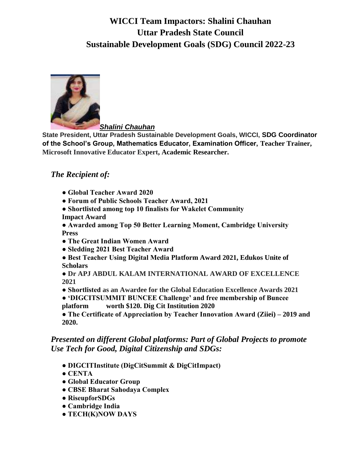# **WICCI Team Impactors: Shalini Chauhan Uttar Pradesh State Council Sustainable Development Goals (SDG) Council 2022-23**



*Shalini Chauhan*

**State President, Uttar Pradesh Sustainable Development Goals, WICCI, SDG Coordinator of the School's Group, Mathematics Educator, Examination Officer, Teacher Trainer, Microsoft Innovative Educator Expert, Academic Researcher.**

#### *The Recipient of:*

- **Global Teacher Award 2020**
- **Forum of Public Schools Teacher Award, 2021**
- **Shortlisted among top 10 finalists for Wakelet Community Impact Award**
- **Awarded among Top 50 Better Learning Moment, Cambridge University Press**
- **The Great Indian Women Award**
- **Sledding 2021 Best Teacher Award**
- **Best Teacher Using Digital Media Platform Award 2021, Edukos Unite of Scholars**

**● Dr APJ ABDUL KALAM INTERNATIONAL AWARD OF EXCELLENCE 2021**

**● Shortlisted as an Awardee for the Global Education Excellence Awards 2021**

**● 'DIGCITSUMMIT BUNCEE Challenge' and free membership of Buncee platform worth \$120. Dig Cit Institution 2020**

**● The Certificate of Appreciation by Teacher Innovation Award (Ziiei) – 2019 and 2020.**

#### *Presented on different Global platforms: Part of Global Projects to promote Use Tech for Good, Digital Citizenship and SDGs:*

- **DIGCITInstitute (DigCitSummit & DigCitImpact)**
- **CENTA**
- **Global Educator Group**
- **CBSE Bharat Sahodaya Complex**
- **RiseupforSDGs**
- **Cambridge India**
- **TECH(K)NOW DAYS**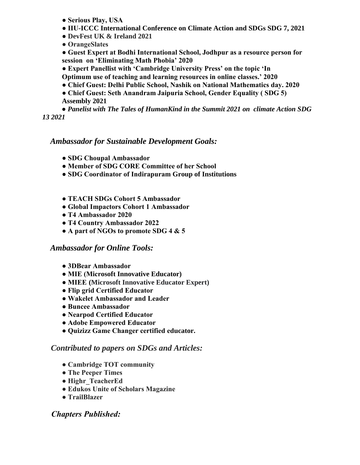- **Serious Play, USA**
- **IIU-ICCC International Conference on Climate Action and SDGs SDG 7, 2021**
- **DevFest UK & Ireland 2021**
- **OrangeSlates**

**● Guest Expert at Bodhi International School, Jodhpur as a resource person for session on 'Eliminating Math Phobia' 2020**

- **Expert Panellist with 'Cambridge University Press' on the topic 'In**
- **Optimum use of teaching and learning resources in online classes.' 2020**
- **Chief Guest: Delhi Public School, Nashik on National Mathematics day. 2020**
- **Chief Guest: Seth Anandram Jaipuria School, Gender Equality ( SDG 5) Assembly 2021**

 **●** *Panelist with The Tales of HumanKind in the Summit 2021 on climate Action SDG 13 2021*

## *Ambassador for Sustainable Development Goals:*

- **SDG Choupal Ambassador**
- **Member of SDG CORE Committee of her School**
- **SDG Coordinator of Indirapuram Group of Institutions**
- **TEACH SDGs Cohort 5 Ambassador**
- **Global Impactors Cohort 1 Ambassador**
- **T4 Ambassador 2020**
- **T4 Country Ambassador 2022**
- **A part of NGOs to promote SDG 4 & 5**

#### *Ambassador for Online Tools:*

- **3DBear Ambassador**
- **MIE (Microsoft Innovative Educator)**
- **MIEE (Microsoft Innovative Educator Expert)**
- **Flip grid Certified Educator**
- **Wakelet Ambassador and Leader**
- **Buncee Ambassador**
- **Nearpod Certified Educator**
- **Adobe Empowered Educator**
- **Quizizz Game Changer certified educator.**

#### *Contributed to papers on SDGs and Articles:*

- **Cambridge TOT community**
- **The Peeper Times**
- **Highr\_TeacherEd**
- **Edukos Unite of Scholars Magazine**
- **TrailBlazer**

## *Chapters Published:*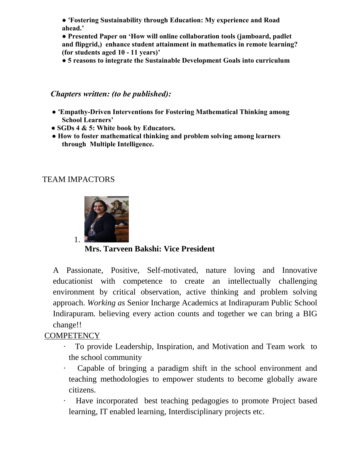**● 'Fostering Sustainability through Education: My experience and Road ahead.'**

**● Presented Paper on 'How will online collaboration tools (jamboard, padlet and flipgrid,) enhance student attainment in mathematics in remote learning? (for students aged 10 - 11 years)'**

**● 5 reasons to integrate the Sustainable Development Goals into curriculum**

#### *Chapters written: (to be published):*

- **'Empathy-Driven Interventions for Fostering Mathematical Thinking among School Learners'**
- **SGDs 4 & 5: White book by Educators.**
- **How to foster mathematical thinking and problem solving among learners through Multiple Intelligence.**

### TEAM IMPACTORS



**Mrs. Tarveen Bakshi: Vice President**

A Passionate, Positive, Self-motivated, nature loving and Innovative educationist with competence to create an intellectually challenging environment by critical observation, active thinking and problem solving approach. *Working as* Senior Incharge Academics at Indirapuram Public School Indirapuram. believing every action counts and together we can bring a BIG change!!

## **COMPETENCY**

- · To provide Leadership, Inspiration, and Motivation and Team work to the school community
- Capable of bringing a paradigm shift in the school environment and teaching methodologies to empower students to become globally aware citizens.
- · Have incorporated best teaching pedagogies to promote Project based learning, IT enabled learning, Interdisciplinary projects etc.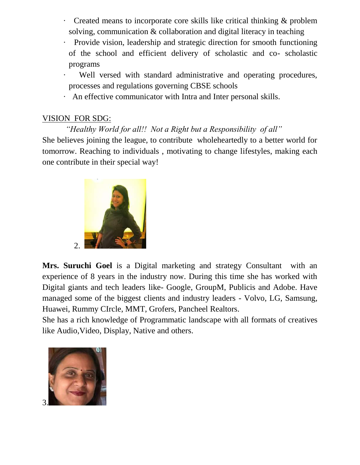- · Created means to incorporate core skills like critical thinking & problem solving, communication & collaboration and digital literacy in teaching
- · Provide vision, leadership and strategic direction for smooth functioning of the school and efficient delivery of scholastic and co- scholastic programs
- Well versed with standard administrative and operating procedures, processes and regulations governing CBSE schools
- · An effective communicator with Intra and Inter personal skills.

## VISION FOR SDG:

*"Healthy World for all!! Not a Right but a Responsibility of all"* She believes joining the league, to contribute wholeheartedly to a better world for

tomorrow. Reaching to individuals , motivating to change lifestyles, making each one contribute in their special way!



**Mrs. Suruchi Goel** is a Digital marketing and strategy Consultant with an experience of 8 years in the industry now. During this time she has worked with Digital giants and tech leaders like- Google, GroupM, Publicis and Adobe. Have managed some of the biggest clients and industry leaders - Volvo, LG, Samsung, Huawei, Rummy CIrcle, MMT, Grofers, Pancheel Realtors.

She has a rich knowledge of Programmatic landscape with all formats of creatives like Audio,Video, Display, Native and others.

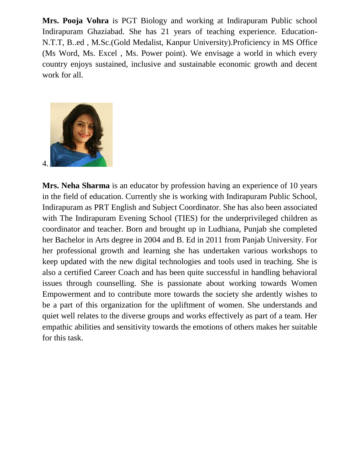**Mrs. Pooja Vohra** is PGT Biology and working at Indirapuram Public school Indirapuram Ghaziabad. She has 21 years of teaching experience. Education-N.T.T, B..ed , M.Sc.(Gold Medalist, Kanpur University).Proficiency in MS Office (Ms Word, Ms. Excel , Ms. Power point). We envisage a world in which every country enjoys sustained, inclusive and sustainable economic growth and decent work for all.



**Mrs. Neha Sharma** is an educator by profession having an experience of 10 years in the field of education. Currently she is working with Indirapuram Public School, Indirapuram as PRT English and Subject Coordinator. She has also been associated with The Indirapuram Evening School (TIES) for the underprivileged children as coordinator and teacher. Born and brought up in Ludhiana, Punjab she completed her Bachelor in Arts degree in 2004 and B. Ed in 2011 from Panjab University. For her professional growth and learning she has undertaken various workshops to keep updated with the new digital technologies and tools used in teaching. She is also a certified Career Coach and has been quite successful in handling behavioral issues through counselling. She is passionate about working towards Women Empowerment and to contribute more towards the society she ardently wishes to be a part of this organization for the upliftment of women. She understands and quiet well relates to the diverse groups and works effectively as part of a team. Her empathic abilities and sensitivity towards the emotions of others makes her suitable for this task.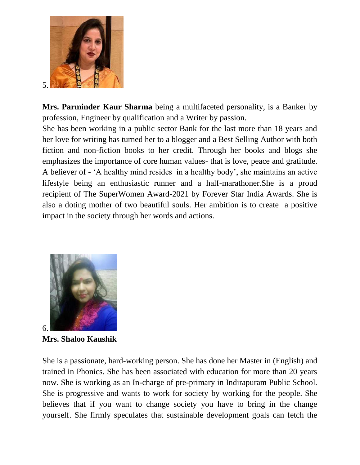

**Mrs. Parminder Kaur Sharma** being a multifaceted personality, is a Banker by profession, Engineer by qualification and a Writer by passion.

She has been working in a public sector Bank for the last more than 18 years and her love for writing has turned her to a blogger and a Best Selling Author with both fiction and non-fiction books to her credit. Through her books and blogs she emphasizes the importance of core human values- that is love, peace and gratitude. A believer of - "A healthy mind resides in a healthy body", she maintains an active lifestyle being an enthusiastic runner and a half-marathoner.She is a proud recipient of The SuperWomen Award-2021 by Forever Star India Awards. She is also a doting mother of two beautiful souls. Her ambition is to create a positive impact in the society through her words and actions.



**Mrs. Shaloo Kaushik**

She is a passionate, hard-working person. She has done her Master in (English) and trained in Phonics. She has been associated with education for more than 20 years now. She is working as an In-charge of pre-primary in Indirapuram Public School. She is progressive and wants to work for society by working for the people. She believes that if you want to change society you have to bring in the change yourself. She firmly speculates that sustainable development goals can fetch the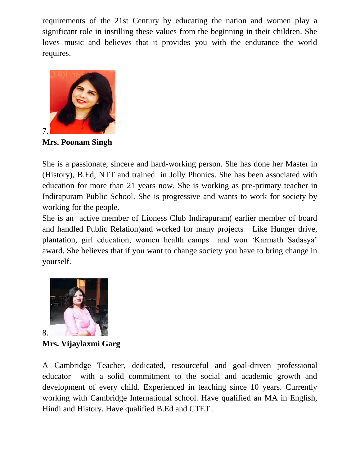requirements of the 21st Century by educating the nation and women play a significant role in instilling these values from the beginning in their children. She loves music and believes that it provides you with the endurance the world requires.



**Mrs. Poonam Singh**

She is a passionate, sincere and hard-working person. She has done her Master in (History), B.Ed, NTT and trained in Jolly Phonics. She has been associated with education for more than 21 years now. She is working as pre-primary teacher in Indirapuram Public School. She is progressive and wants to work for society by working for the people.

She is an active member of Lioness Club Indirapuram( earlier member of board and handled Public Relation)and worked for many projects Like Hunger drive, plantation, girl education, women health camps and won "Karmath Sadasya" award. She believes that if you want to change society you have to bring change in yourself.



**Mrs. Vijaylaxmi Garg**

A Cambridge Teacher, dedicated, resourceful and goal-driven professional educator with a solid commitment to the social and academic growth and development of every child. Experienced in teaching since 10 years. Currently working with Cambridge International school. Have qualified an MA in English, Hindi and History. Have qualified B.Ed and CTET .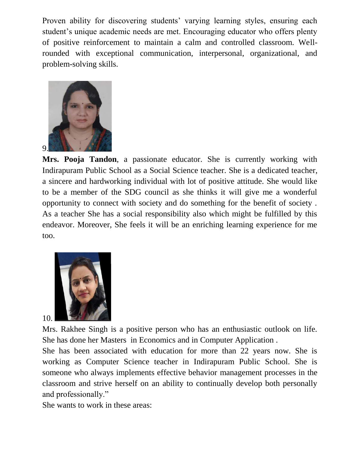Proven ability for discovering students' varying learning styles, ensuring each student"s unique academic needs are met. Encouraging educator who offers plenty of positive reinforcement to maintain a calm and controlled classroom. Wellrounded with exceptional communication, interpersonal, organizational, and problem-solving skills.



**Mrs. Pooja Tandon**, a passionate educator. She is currently working with Indirapuram Public School as a Social Science teacher. She is a dedicated teacher, a sincere and hardworking individual with lot of positive attitude. She would like to be a member of the SDG council as she thinks it will give me a wonderful opportunity to connect with society and do something for the benefit of society . As a teacher She has a social responsibility also which might be fulfilled by this endeavor. Moreover, She feels it will be an enriching learning experience for me too.



Mrs. Rakhee Singh is a positive person who has an enthusiastic outlook on life. She has done her Masters in Economics and in Computer Application .

She has been associated with education for more than 22 years now. She is working as Computer Science teacher in Indirapuram Public School. She is someone who always implements effective behavior management processes in the classroom and strive herself on an ability to continually develop both personally and professionally."

She wants to work in these areas: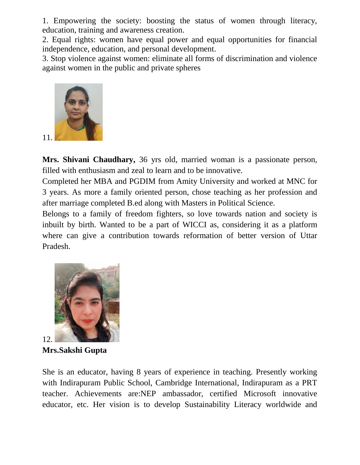1. Empowering the society: boosting the status of women through literacy, education, training and awareness creation.

2. Equal rights: women have equal power and equal opportunities for financial independence, education, and personal development.

3. Stop violence against women: eliminate all forms of discrimination and violence against women in the public and private spheres



**Mrs. Shivani Chaudhary,** 36 yrs old, married woman is a passionate person, filled with enthusiasm and zeal to learn and to be innovative.

Completed her MBA and PGDIM from Amity University and worked at MNC for 3 years. As more a family oriented person, chose teaching as her profession and after marriage completed B.ed along with Masters in Political Science.

Belongs to a family of freedom fighters, so love towards nation and society is inbuilt by birth. Wanted to be a part of WICCI as, considering it as a platform where can give a contribution towards reformation of better version of Uttar Pradesh.



**Mrs.Sakshi Gupta** 

She is an educator, having 8 years of experience in teaching. Presently working with Indirapuram Public School, Cambridge International, Indirapuram as a PRT teacher. Achievements are:NEP ambassador, certified Microsoft innovative educator, etc. Her vision is to develop Sustainability Literacy worldwide and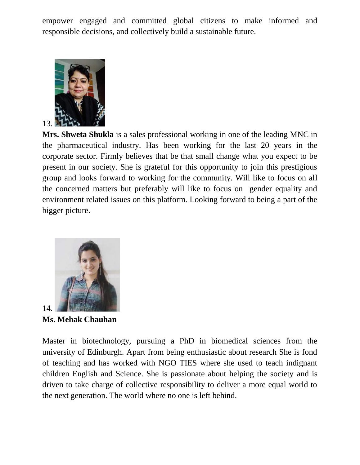empower engaged and committed global citizens to make informed and responsible decisions, and collectively build a sustainable future.



**Mrs. Shweta Shukla** is a sales professional working in one of the leading MNC in the pharmaceutical industry. Has been working for the last 20 years in the corporate sector. Firmly believes that be that small change what you expect to be present in our society. She is grateful for this opportunity to join this prestigious group and looks forward to working for the community. Will like to focus on all the concerned matters but preferably will like to focus on gender equality and environment related issues on this platform. Looking forward to being a part of the bigger picture.



**Ms. Mehak Chauhan**

Master in biotechnology, pursuing a PhD in biomedical sciences from the university of Edinburgh. Apart from being enthusiastic about research She is fond of teaching and has worked with NGO TIES where she used to teach indignant children English and Science. She is passionate about helping the society and is driven to take charge of collective responsibility to deliver a more equal world to the next generation. The world where no one is left behind.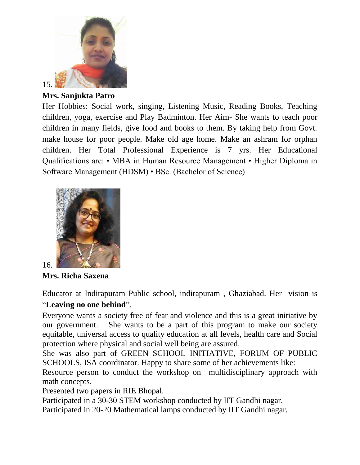

**Mrs. Sanjukta Patro**

Her Hobbies: Social work, singing, Listening Music, Reading Books, Teaching children, yoga, exercise and Play Badminton. Her Aim- She wants to teach poor children in many fields, give food and books to them. By taking help from Govt. make house for poor people. Make old age home. Make an ashram for orphan children. Her Total Professional Experience is 7 yrs. Her Educational Qualifications are: • MBA in Human Resource Management • Higher Diploma in Software Management (HDSM) • BSc. (Bachelor of Science)



**Mrs. Richa Saxena**

Educator at Indirapuram Public school, indirapuram , Ghaziabad. Her vision is "**Leaving no one behind**".

Everyone wants a society free of fear and violence and this is a great initiative by our government. She wants to be a part of this program to make our society equitable, universal access to quality education at all levels, health care and Social protection where physical and social well being are assured.

She was also part of GREEN SCHOOL INITIATIVE, FORUM OF PUBLIC SCHOOLS, ISA coordinator. Happy to share some of her achievements like:

Resource person to conduct the workshop on multidisciplinary approach with math concepts.

Presented two papers in RIE Bhopal.

Participated in a 30-30 STEM workshop conducted by IIT Gandhi nagar.

Participated in 20-20 Mathematical lamps conducted by IIT Gandhi nagar.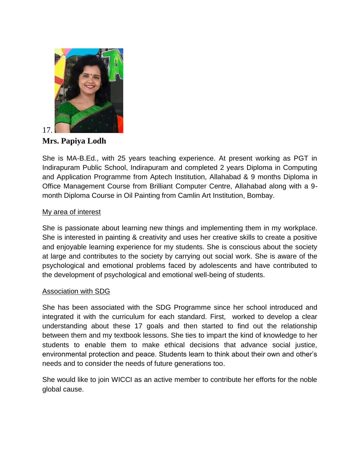

**Mrs. Papiya Lodh**

She is MA-B.Ed., with 25 years teaching experience. At present working as PGT in Indirapuram Public School, Indirapuram and completed 2 years Diploma in Computing and Application Programme from Aptech Institution, Allahabad & 9 months Diploma in Office Management Course from Brilliant Computer Centre, Allahabad along with a 9 month Diploma Course in Oil Painting from Camlin Art Institution, Bombay.

#### My area of interest

She is passionate about learning new things and implementing them in my workplace. She is interested in painting & creativity and uses her creative skills to create a positive and enjoyable learning experience for my students. She is conscious about the society at large and contributes to the society by carrying out social work. She is aware of the psychological and emotional problems faced by adolescents and have contributed to the development of psychological and emotional well-being of students.

#### Association with SDG

She has been associated with the SDG Programme since her school introduced and integrated it with the curriculum for each standard. First, worked to develop a clear understanding about these 17 goals and then started to find out the relationship between them and my textbook lessons. She ties to impart the kind of knowledge to her students to enable them to make ethical decisions that advance social justice, environmental protection and peace. Students learn to think about their own and other's needs and to consider the needs of future generations too.

She would like to join WICCI as an active member to contribute her efforts for the noble global cause.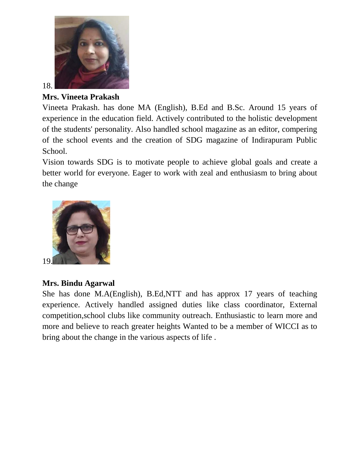

18.

### **Mrs. Vineeta Prakash**

Vineeta Prakash. has done MA (English), B.Ed and B.Sc. Around 15 years of experience in the education field. Actively contributed to the holistic development of the students' personality. Also handled school magazine as an editor, compering of the school events and the creation of SDG magazine of Indirapuram Public School.

Vision towards SDG is to motivate people to achieve global goals and create a better world for everyone. Eager to work with zeal and enthusiasm to bring about the change



# **Mrs. Bindu Agarwal**

She has done M.A(English), B.Ed,NTT and has approx 17 years of teaching experience. Actively handled assigned duties like class coordinator, External competition,school clubs like community outreach. Enthusiastic to learn more and more and believe to reach greater heights Wanted to be a member of WICCI as to bring about the change in the various aspects of life .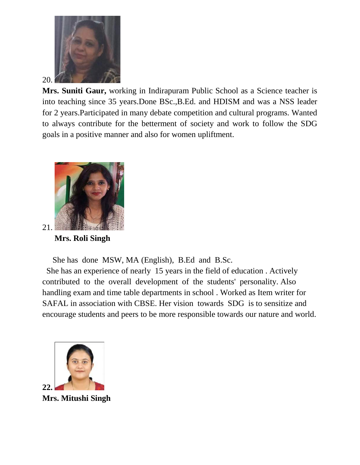

**Mrs. Suniti Gaur,** working in Indirapuram Public School as a Science teacher is into teaching since 35 years.Done BSc.,B.Ed. and HDISM and was a NSS leader for 2 years.Participated in many debate competition and cultural programs. Wanted to always contribute for the betterment of society and work to follow the SDG goals in a positive manner and also for women upliftment.



 **Mrs. Roli Singh**

She has done MSW, MA (English), B.Ed and B.Sc.

 She has an experience of nearly 15 years in the field of education . Actively contributed to the overall development of the students' personality. Also handling exam and time table departments in school . Worked as Item writer for SAFAL in association with CBSE. Her vision towards SDG is to sensitize and encourage students and peers to be more responsible towards our nature and world.